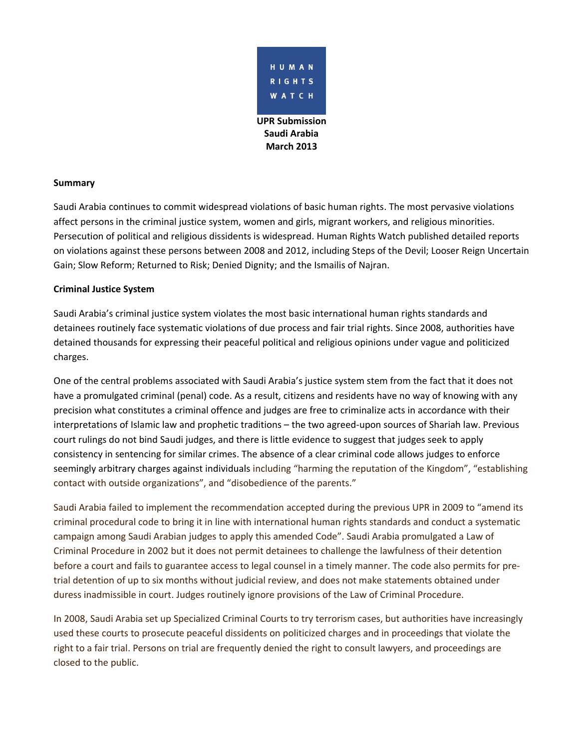

## **Summary**

Saudi Arabia continues to commit widespread violations of basic human rights. The most pervasive violations affect persons in the criminal justice system, women and girls, migrant workers, and religious minorities. Persecution of political and religious dissidents is widespread. Human Rights Watch published detailed reports on violations against these persons between 2008 and 2012, including Steps of the Devil; Looser Reign Uncertain Gain; Slow Reform; Returned to Risk; Denied Dignity; and the Ismailis of Najran.

#### **Criminal Justice System**

Saudi Arabia's criminal justice system violates the most basic international human rights standards and detainees routinely face systematic violations of due process and fair trial rights. Since 2008, authorities have detained thousands for expressing their peaceful political and religious opinions under vague and politicized charges.

One of the central problems associated with Saudi Arabia's justice system stem from the fact that it does not have a promulgated criminal (penal) code. As a result, citizens and residents have no way of knowing with any precision what constitutes a criminal offence and judges are free to criminalize acts in accordance with their interpretations of Islamic law and prophetic traditions – the two agreed-upon sources of Shariah law. Previous court rulings do not bind Saudi judges, and there is little evidence to suggest that judges seek to apply consistency in sentencing for similar crimes. The absence of a clear criminal code allows judges to enforce seemingly arbitrary charges against individuals including "harming the reputation of the Kingdom", "establishing contact with outside organizations", and "disobedience of the parents."

Saudi Arabia failed to implement the recommendation accepted during the previous UPR in 2009 to "amend its criminal procedural code to bring it in line with international human rights standards and conduct a systematic campaign among Saudi Arabian judges to apply this amended Code". Saudi Arabia promulgated a Law of Criminal Procedure in 2002 but it does not permit detainees to challenge the lawfulness of their detention before a court and fails to guarantee access to legal counsel in a timely manner. The code also permits for pretrial detention of up to six months without judicial review, and does not make statements obtained under duress inadmissible in court. Judges routinely ignore provisions of the Law of Criminal Procedure.

In 2008, Saudi Arabia set up Specialized Criminal Courts to try terrorism cases, but authorities have increasingly used these courts to prosecute peaceful dissidents on politicized charges and in proceedings that violate the right to a fair trial. Persons on trial are frequently denied the right to consult lawyers, and proceedings are closed to the public.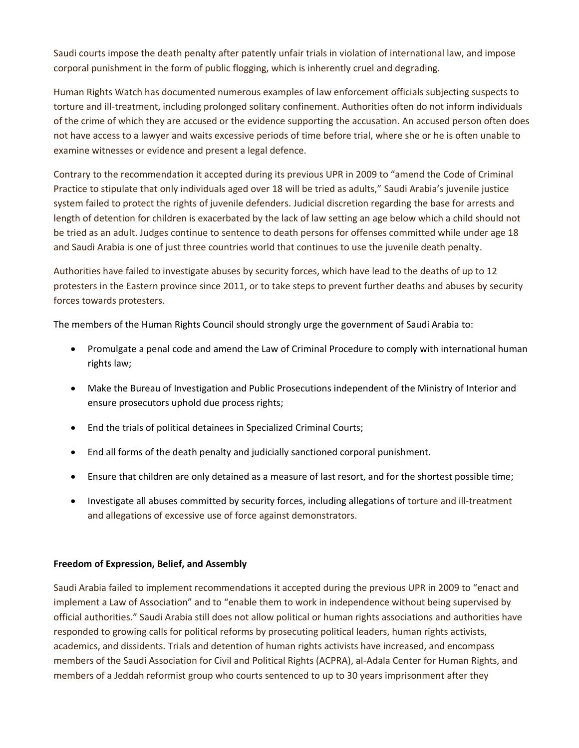Saudi courts impose the death penalty after patently unfair trials in violation of international law, and impose corporal punishment in the form of public flogging, which is inherently cruel and degrading.

Human Rights Watch has documented numerous examples of law enforcement officials subjecting suspects to torture and ill-treatment, including prolonged solitary confinement. Authorities often do not inform individuals of the crime of which they are accused or the evidence supporting the accusation. An accused person often does not have access to a lawyer and waits excessive periods of time before trial, where she or he is often unable to examine witnesses or evidence and present a legal defence.

Contrary to the recommendation it accepted during its previous UPR in 2009 to "amend the Code of Criminal Practice to stipulate that only individuals aged over 18 will be tried as adults," Saudi Arabia's juvenile justice system failed to protect the rights of juvenile defenders. Judicial discretion regarding the base for arrests and length of detention for children is exacerbated by the lack of law setting an age below which a child should not be tried as an adult. Judges continue to sentence to death persons for offenses committed while under age 18 and Saudi Arabia is one of just three countries world that continues to use the juvenile death penalty.

Authorities have failed to investigate abuses by security forces, which have lead to the deaths of up to 12 protesters in the Eastern province since 2011, or to take steps to prevent further deaths and abuses by security forces towards protesters.

The members of the Human Rights Council should strongly urge the government of Saudi Arabia to:

- Promulgate a penal code and amend the Law of Criminal Procedure to comply with international human rights law;
- Make the Bureau of Investigation and Public Prosecutions independent of the Ministry of Interior and ensure prosecutors uphold due process rights;
- End the trials of political detainees in Specialized Criminal Courts;
- End all forms of the death penalty and judicially sanctioned corporal punishment.
- Ensure that children are only detained as a measure of last resort, and for the shortest possible time;
- Investigate all abuses committed by security forces, including allegations of torture and ill-treatment and allegations of excessive use of force against demonstrators.

## **Freedom of Expression, Belief, and Assembly**

Saudi Arabia failed to implement recommendations it accepted during the previous UPR in 2009 to "enact and implement a Law of Association" and to "enable them to work in independence without being supervised by official authorities." Saudi Arabia still does not allow political or human rights associations and authorities have responded to growing calls for political reforms by prosecuting political leaders, human rights activists, academics, and dissidents. Trials and detention of human rights activists have increased, and encompass members of the Saudi Association for Civil and Political Rights (ACPRA), al-Adala Center for Human Rights, and members of a Jeddah reformist group who courts sentenced to up to 30 years imprisonment after they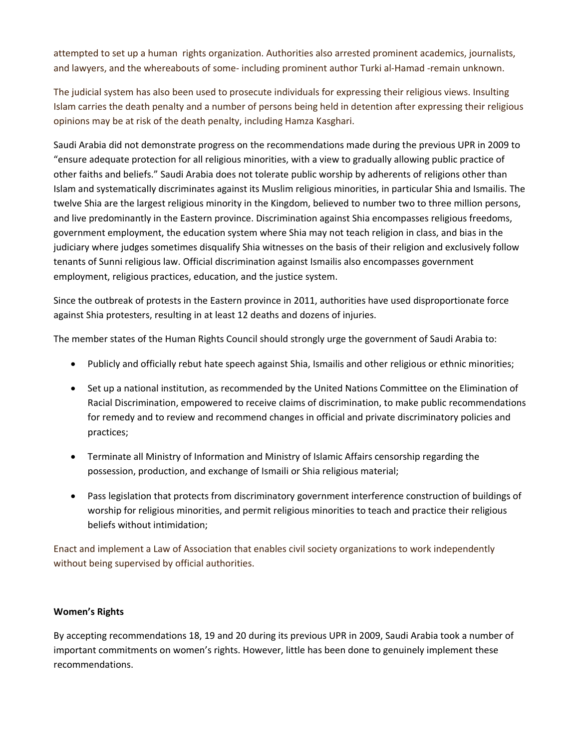attempted to set up a human rights organization. Authorities also arrested prominent academics, journalists, and lawyers, and the whereabouts of some- including prominent author Turki al-Hamad -remain unknown.

The judicial system has also been used to prosecute individuals for expressing their religious views. Insulting Islam carries the death penalty and a number of persons being held in detention after expressing their religious opinions may be at risk of the death penalty, including Hamza Kasghari.

Saudi Arabia did not demonstrate progress on the recommendations made during the previous UPR in 2009 to "ensure adequate protection for all religious minorities, with a view to gradually allowing public practice of other faiths and beliefs." Saudi Arabia does not tolerate public worship by adherents of religions other than Islam and systematically discriminates against its Muslim religious minorities, in particular Shia and Ismailis. The twelve Shia are the largest religious minority in the Kingdom, believed to number two to three million persons, and live predominantly in the Eastern province. Discrimination against Shia encompasses religious freedoms, government employment, the education system where Shia may not teach religion in class, and bias in the judiciary where judges sometimes disqualify Shia witnesses on the basis of their religion and exclusively follow tenants of Sunni religious law. Official discrimination against Ismailis also encompasses government employment, religious practices, education, and the justice system.

Since the outbreak of protests in the Eastern province in 2011, authorities have used disproportionate force against Shia protesters, resulting in at least 12 deaths and dozens of injuries.

The member states of the Human Rights Council should strongly urge the government of Saudi Arabia to:

- Publicly and officially rebut hate speech against Shia, Ismailis and other religious or ethnic minorities;
- Set up a national institution, as recommended by the United Nations Committee on the Elimination of Racial Discrimination, empowered to receive claims of discrimination, to make public recommendations for remedy and to review and recommend changes in official and private discriminatory policies and practices;
- Terminate all Ministry of Information and Ministry of Islamic Affairs censorship regarding the possession, production, and exchange of Ismaili or Shia religious material;
- Pass legislation that protects from discriminatory government interference construction of buildings of worship for religious minorities, and permit religious minorities to teach and practice their religious beliefs without intimidation;

Enact and implement a Law of Association that enables civil society organizations to work independently without being supervised by official authorities.

# **Women's Rights**

By accepting recommendations 18, 19 and 20 during its previous UPR in 2009, Saudi Arabia took a number of important commitments on women's rights. However, little has been done to genuinely implement these recommendations.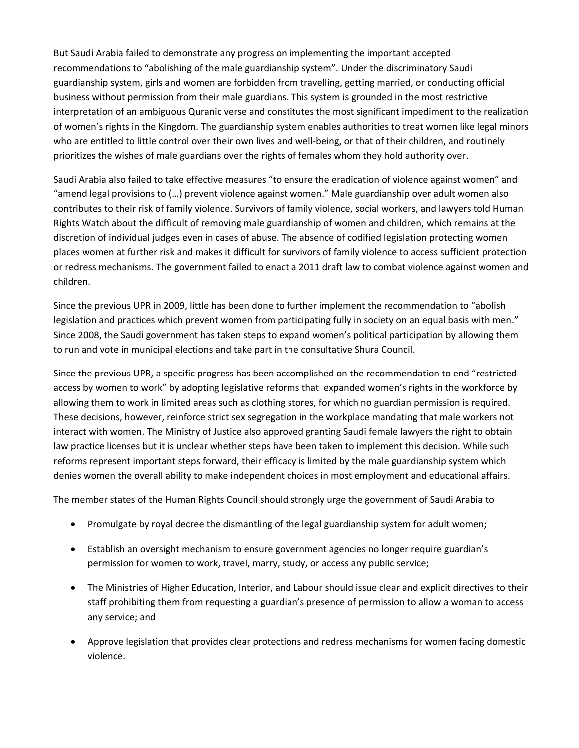But Saudi Arabia failed to demonstrate any progress on implementing the important accepted recommendations to "abolishing of the male guardianship system". Under the discriminatory Saudi guardianship system, girls and women are forbidden from travelling, getting married, or conducting official business without permission from their male guardians. This system is grounded in the most restrictive interpretation of an ambiguous Quranic verse and constitutes the most significant impediment to the realization of women's rights in the Kingdom. The guardianship system enables authorities to treat women like legal minors who are entitled to little control over their own lives and well-being, or that of their children, and routinely prioritizes the wishes of male guardians over the rights of females whom they hold authority over.

Saudi Arabia also failed to take effective measures "to ensure the eradication of violence against women" and "amend legal provisions to (…) prevent violence against women." Male guardianship over adult women also contributes to their risk of family violence. Survivors of family violence, social workers, and lawyers told Human Rights Watch about the difficult of removing male guardianship of women and children, which remains at the discretion of individual judges even in cases of abuse. The absence of codified legislation protecting women places women at further risk and makes it difficult for survivors of family violence to access sufficient protection or redress mechanisms. The government failed to enact a 2011 draft law to combat violence against women and children.

Since the previous UPR in 2009, little has been done to further implement the recommendation to "abolish legislation and practices which prevent women from participating fully in society on an equal basis with men." Since 2008, the Saudi government has taken steps to expand women's political participation by allowing them to run and vote in municipal elections and take part in the consultative Shura Council.

Since the previous UPR, a specific progress has been accomplished on the recommendation to end "restricted access by women to work" by adopting legislative reforms that expanded women's rights in the workforce by allowing them to work in limited areas such as clothing stores, for which no guardian permission is required. These decisions, however, reinforce strict sex segregation in the workplace mandating that male workers not interact with women. The Ministry of Justice also approved granting Saudi female lawyers the right to obtain law practice licenses but it is unclear whether steps have been taken to implement this decision. While such reforms represent important steps forward, their efficacy is limited by the male guardianship system which denies women the overall ability to make independent choices in most employment and educational affairs.

The member states of the Human Rights Council should strongly urge the government of Saudi Arabia to

- Promulgate by royal decree the dismantling of the legal guardianship system for adult women;
- Establish an oversight mechanism to ensure government agencies no longer require guardian's permission for women to work, travel, marry, study, or access any public service;
- The Ministries of Higher Education, Interior, and Labour should issue clear and explicit directives to their staff prohibiting them from requesting a guardian's presence of permission to allow a woman to access any service; and
- Approve legislation that provides clear protections and redress mechanisms for women facing domestic violence.